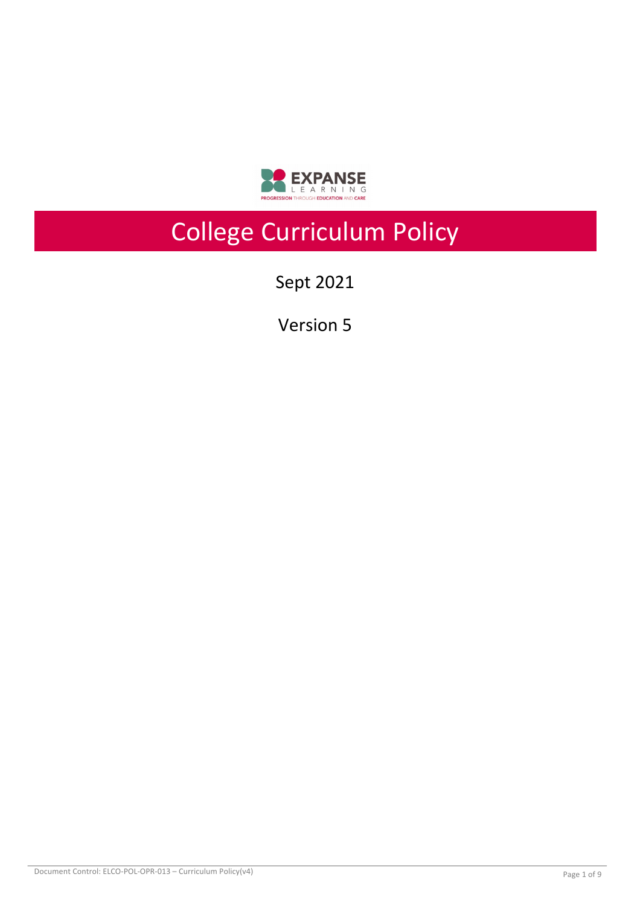

# College Curriculum Policy

Sept 2021

Version 5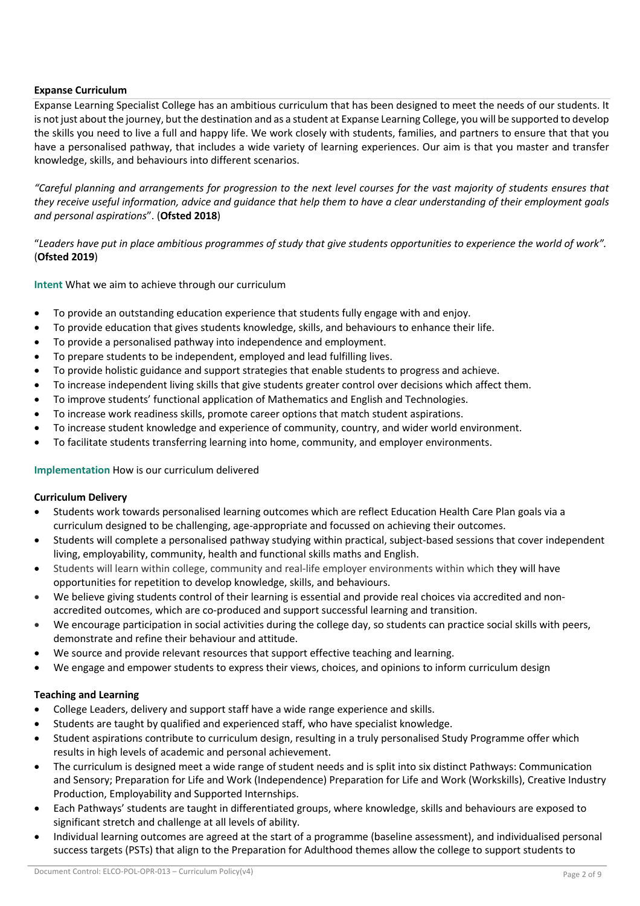### **Expanse Curriculum**

Expanse Learning Specialist College has an ambitious curriculum that has been designed to meet the needs of our students. It is not just about the journey, but the destination and as a student at Expanse Learning College, you will be supported to develop the skills you need to live a full and happy life. We work closely with students, families, and partners to ensure that that you have a personalised pathway, that includes a wide variety of learning experiences. Our aim is that you master and transfer knowledge, skills, and behaviours into different scenarios.

*"Careful planning and arrangements for progression to the next level courses for the vast majority of students ensures that they receive useful information, advice and guidance that help them to have a clear understanding of their employment goals and personal aspirations*". (**Ofsted 2018**)

"*Leaders have put in place ambitious programmes of study that give students opportunities to experience the world of work".*  (**Ofsted 2019**)

**Intent** What we aim to achieve through our curriculum

- To provide an outstanding education experience that students fully engage with and enjoy.
- To provide education that gives students knowledge, skills, and behaviours to enhance their life.
- To provide a personalised pathway into independence and employment.
- To prepare students to be independent, employed and lead fulfilling lives.
- To provide holistic guidance and support strategies that enable students to progress and achieve.
- To increase independent living skills that give students greater control over decisions which affect them.
- To improve students' functional application of Mathematics and English and Technologies.
- To increase work readiness skills, promote career options that match student aspirations.
- To increase student knowledge and experience of community, country, and wider world environment.
- To facilitate students transferring learning into home, community, and employer environments.

### **Implementation** How is our curriculum delivered

### **Curriculum Delivery**

- Students work towards personalised learning outcomes which are reflect Education Health Care Plan goals via a curriculum designed to be challenging, age-appropriate and focussed on achieving their outcomes.
- Students will complete a personalised pathway studying within practical, subject-based sessions that cover independent living, employability, community, health and functional skills maths and English.
- Students will learn within college, community and real-life employer environments within which they will have opportunities for repetition to develop knowledge, skills, and behaviours.
- We believe giving students control of their learning is essential and provide real choices via accredited and nonaccredited outcomes, which are co-produced and support successful learning and transition.
- We encourage participation in social activities during the college day, so students can practice social skills with peers, demonstrate and refine their behaviour and attitude.
- We source and provide relevant resources that support effective teaching and learning.
- We engage and empower students to express their views, choices, and opinions to inform curriculum design

### **Teaching and Learning**

- College Leaders, delivery and support staff have a wide range experience and skills.
- Students are taught by qualified and experienced staff, who have specialist knowledge.
- Student aspirations contribute to curriculum design, resulting in a truly personalised Study Programme offer which results in high levels of academic and personal achievement.
- The curriculum is designed meet a wide range of student needs and is split into six distinct Pathways: Communication and Sensory; Preparation for Life and Work (Independence) Preparation for Life and Work (Workskills), Creative Industry Production, Employability and Supported Internships.
- Each Pathways' students are taught in differentiated groups, where knowledge, skills and behaviours are exposed to significant stretch and challenge at all levels of ability.
- Individual learning outcomes are agreed at the start of a programme (baseline assessment), and individualised personal success targets (PSTs) that align to the Preparation for Adulthood themes allow the college to support students to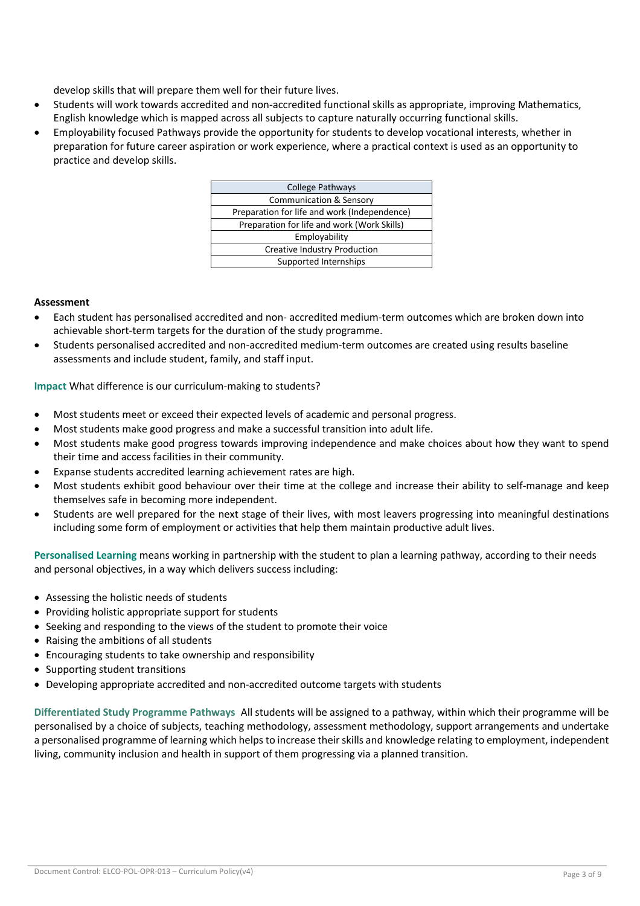develop skills that will prepare them well for their future lives.

- Students will work towards accredited and non-accredited functional skills as appropriate, improving Mathematics, English knowledge which is mapped across all subjects to capture naturally occurring functional skills.
- Employability focused Pathways provide the opportunity for students to develop vocational interests, whether in preparation for future career aspiration or work experience, where a practical context is used as an opportunity to practice and develop skills.

| College Pathways                             |
|----------------------------------------------|
| <b>Communication &amp; Sensory</b>           |
| Preparation for life and work (Independence) |
| Preparation for life and work (Work Skills)  |
| Employability                                |
| <b>Creative Industry Production</b>          |
| Supported Internships                        |
|                                              |

#### **Assessment**

- Each student has personalised accredited and non- accredited medium-term outcomes which are broken down into achievable short-term targets for the duration of the study programme.
- Students personalised accredited and non-accredited medium-term outcomes are created using results baseline assessments and include student, family, and staff input.

**Impact** What difference is our curriculum-making to students?

- Most students meet or exceed their expected levels of academic and personal progress.
- Most students make good progress and make a successful transition into adult life.
- Most students make good progress towards improving independence and make choices about how they want to spend their time and access facilities in their community.
- Expanse students accredited learning achievement rates are high.
- Most students exhibit good behaviour over their time at the college and increase their ability to self-manage and keep themselves safe in becoming more independent.
- Students are well prepared for the next stage of their lives, with most leavers progressing into meaningful destinations including some form of employment or activities that help them maintain productive adult lives.

**Personalised Learning** means working in partnership with the student to plan a learning pathway, according to their needs and personal objectives, in a way which delivers success including:

- Assessing the holistic needs of students
- Providing holistic appropriate support for students
- Seeking and responding to the views of the student to promote their voice
- Raising the ambitions of all students
- Encouraging students to take ownership and responsibility
- Supporting student transitions
- Developing appropriate accredited and non-accredited outcome targets with students

**Differentiated Study Programme Pathways** All students will be assigned to a pathway, within which their programme will be personalised by a choice of subjects, teaching methodology, assessment methodology, support arrangements and undertake a personalised programme of learning which helps to increase their skills and knowledge relating to employment, independent living, community inclusion and health in support of them progressing via a planned transition.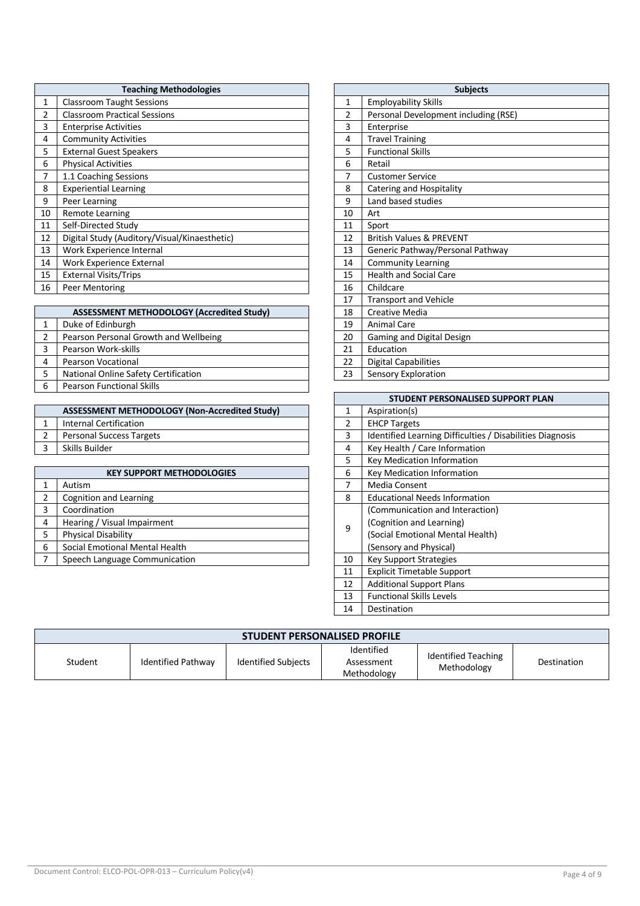|                | <b>Teaching Methodologies</b>                |    | <b>Subjects</b>                      |
|----------------|----------------------------------------------|----|--------------------------------------|
| 1              | <b>Classroom Taught Sessions</b>             | 1  | <b>Employability Skills</b>          |
| $\overline{2}$ | <b>Classroom Practical Sessions</b>          | 2  | Personal Development including (RSE) |
| 3              | <b>Enterprise Activities</b>                 | 3  | Enterprise                           |
| 4              | <b>Community Activities</b>                  | 4  | <b>Travel Training</b>               |
| 5              | <b>External Guest Speakers</b>               | 5  | <b>Functional Skills</b>             |
| 6              | <b>Physical Activities</b>                   | 6  | Retail                               |
| 7              | 1.1 Coaching Sessions                        | 7  | <b>Customer Service</b>              |
| 8              | <b>Experiential Learning</b>                 | 8  | Catering and Hospitality             |
| 9              | Peer Learning                                | 9  | Land based studies                   |
| 10             | <b>Remote Learning</b>                       | 10 | Art                                  |
| 11             | Self-Directed Study                          | 11 | Sport                                |
| 12             | Digital Study (Auditory/Visual/Kinaesthetic) | 12 | <b>British Values &amp; PREVENT</b>  |
| 13             | Work Experience Internal                     | 13 | Generic Pathway/Personal Pathway     |
| 14             | Work Experience External                     | 14 | <b>Community Learning</b>            |
| 15             | <b>External Visits/Trips</b>                 | 15 | <b>Health and Social Care</b>        |
| 16             | Peer Mentoring                               | 16 | Childcare                            |

|   | <b>ASSESSMENT METHODOLOGY (Accredited Study)</b> |  |    | <b>Creative Media</b>       |
|---|--------------------------------------------------|--|----|-----------------------------|
|   | Duke of Edinburgh                                |  | 19 | <b>Animal Care</b>          |
|   | Pearson Personal Growth and Wellbeing            |  | 20 | Gaming and Digital Design   |
|   | Pearson Work-skills                              |  | 21 | Education                   |
| 4 | <b>Pearson Vocational</b>                        |  | 22 | <b>Digital Capabilities</b> |
|   | National Online Safety Certification             |  | 23 | Sensory Exploration         |
| 6 | <b>Pearson Functional Skills</b>                 |  |    |                             |
|   |                                                  |  |    |                             |

| ASSESSMENT METHODOLOGY (Non-Accredited Study) |  | Aspiration(s)                                             |
|-----------------------------------------------|--|-----------------------------------------------------------|
|                                               |  |                                                           |
| Internal Certification                        |  | <b>EHCP Targets</b>                                       |
| <b>Personal Success Targets</b>               |  | Identified Learning Difficulties / Disabilities Diagnosis |
| Skills Builder                                |  | Key Health / Care Information                             |
|                                               |  |                                                           |

| <b>KEY SUPPORT METHODOLOGIES</b>    | 6  | Key Medication Information           |
|-------------------------------------|----|--------------------------------------|
| Autism                              |    | Media Consent                        |
| Cognition and Learning              | 8  | <b>Educational Needs Information</b> |
| Coordination                        |    | (Communication and Interaction)      |
| Hearing / Visual Impairment<br>4    | 9  | (Cognition and Learning)             |
| Physical Disability                 |    | (Social Emotional Mental Health)     |
| Social Emotional Mental Health<br>6 |    | (Sensory and Physical)               |
| Speech Language Communication       | 10 | <b>Key Support Strategies</b>        |
|                                     |    |                                      |

| <b>Subjects</b> |                                      |  |  |
|-----------------|--------------------------------------|--|--|
| 1               | <b>Employability Skills</b>          |  |  |
| $\overline{2}$  | Personal Development including (RSE) |  |  |
| 3               | Enterprise                           |  |  |
| 4               | <b>Travel Training</b>               |  |  |
| 5               | <b>Functional Skills</b>             |  |  |
| 6               | Retail                               |  |  |
| 7               | <b>Customer Service</b>              |  |  |
| 8               | Catering and Hospitality             |  |  |
| 9               | Land based studies                   |  |  |
| 10              | Art                                  |  |  |
| 11              | Sport                                |  |  |
| 12              | <b>British Values &amp; PREVENT</b>  |  |  |
| 13              | Generic Pathway/Personal Pathway     |  |  |
| 14              | <b>Community Learning</b>            |  |  |
| 15              | <b>Health and Social Care</b>        |  |  |
| 16              | Childcare                            |  |  |
| 17              | <b>Transport and Vehicle</b>         |  |  |
| 18              | <b>Creative Media</b>                |  |  |
| 19              | <b>Animal Care</b>                   |  |  |
| 20              | Gaming and Digital Design            |  |  |
| 21              | Education                            |  |  |
| 22              | <b>Digital Capabilities</b>          |  |  |
| 23              | Sensory Exploration                  |  |  |

| STUDENT PERSONALISED SUPPORT PLAN |                                                           |  |  |
|-----------------------------------|-----------------------------------------------------------|--|--|
| 1                                 | Aspiration(s)                                             |  |  |
| $\overline{2}$                    | <b>EHCP Targets</b>                                       |  |  |
| 3                                 | Identified Learning Difficulties / Disabilities Diagnosis |  |  |
| 4                                 | Key Health / Care Information                             |  |  |
| 5                                 | Key Medication Information                                |  |  |
| 6                                 | <b>Key Medication Information</b>                         |  |  |
| 7                                 | Media Consent                                             |  |  |
| 8                                 | <b>Educational Needs Information</b>                      |  |  |
|                                   | (Communication and Interaction)                           |  |  |
| 9                                 | (Cognition and Learning)                                  |  |  |
|                                   | (Social Emotional Mental Health)                          |  |  |
|                                   | (Sensory and Physical)                                    |  |  |
| 10                                | Key Support Strategies                                    |  |  |
| 11                                | <b>Explicit Timetable Support</b>                         |  |  |
| 12                                | <b>Additional Support Plans</b>                           |  |  |
| 13                                | <b>Functional Skills Levels</b>                           |  |  |
| 14                                | Destination                                               |  |  |

| <b>STUDENT PERSONALISED PROFILE</b> |                    |                            |                                         |                                           |             |
|-------------------------------------|--------------------|----------------------------|-----------------------------------------|-------------------------------------------|-------------|
| Student                             | Identified Pathway | <b>Identified Subjects</b> | Identified<br>Assessment<br>Methodology | <b>Identified Teaching</b><br>Methodology | Destination |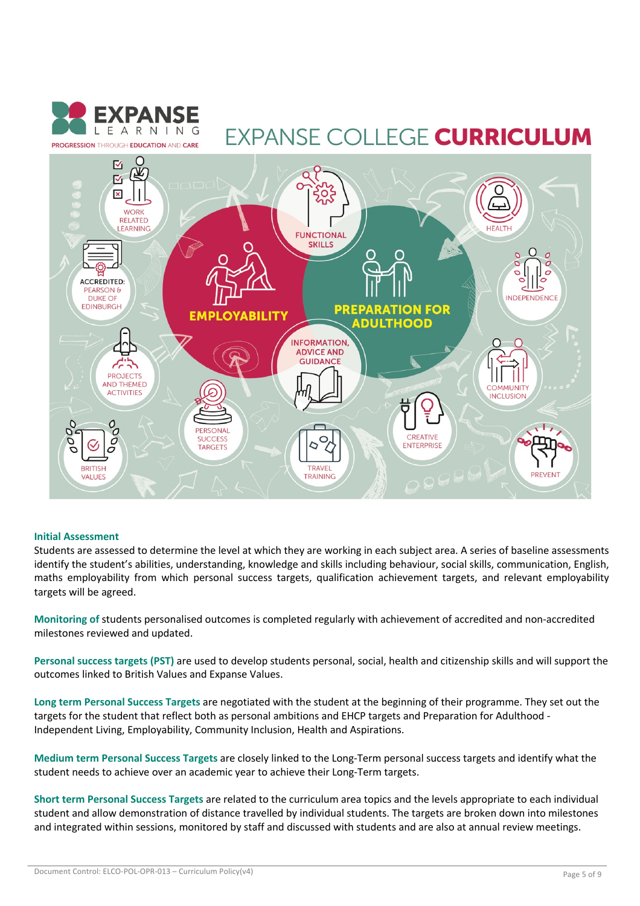

## **EXPANSE COLLEGE CURRICULUM**



#### **Initial Assessment**

Students are assessed to determine the level at which they are working in each subject area. A series of baseline assessments identify the student's abilities, understanding, knowledge and skills including behaviour, social skills, communication, English, maths employability from which personal success targets, qualification achievement targets, and relevant employability targets will be agreed.

**Monitoring of** students personalised outcomes is completed regularly with achievement of accredited and non-accredited milestones reviewed and updated.

**Personal success targets (PST)** are used to develop students personal, social, health and citizenship skills and will support the outcomes linked to British Values and Expanse Values.

**Long term Personal Success Targets** are negotiated with the student at the beginning of their programme. They set out the targets for the student that reflect both as personal ambitions and EHCP targets and Preparation for Adulthood - Independent Living, Employability, Community Inclusion, Health and Aspirations.

**Medium term Personal Success Targets** are closely linked to the Long-Term personal success targets and identify what the student needs to achieve over an academic year to achieve their Long-Term targets.

**Short term Personal Success Targets** are related to the curriculum area topics and the levels appropriate to each individual student and allow demonstration of distance travelled by individual students. The targets are broken down into milestones and integrated within sessions, monitored by staff and discussed with students and are also at annual review meetings.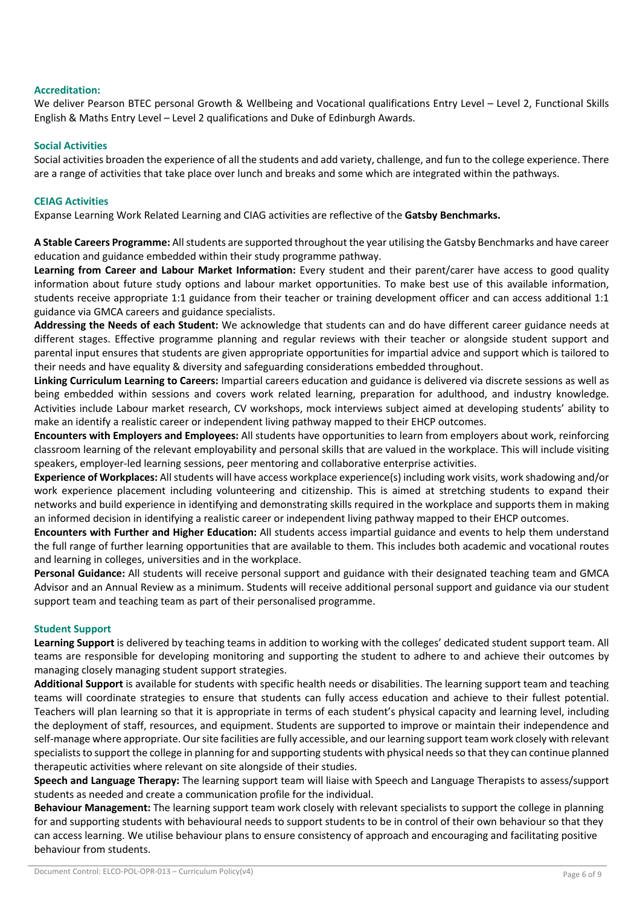#### **Accreditation:**

We deliver Pearson BTEC personal Growth & Wellbeing and Vocational qualifications Entry Level – Level 2, Functional Skills English & Maths Entry Level – Level 2 qualifications and Duke of Edinburgh Awards.

#### **Social Activities**

Social activities broaden the experience of all the students and add variety, challenge, and fun to the college experience. There are a range of activities that take place over lunch and breaks and some which are integrated within the pathways.

#### **CEIAG Activities**

Expanse Learning Work Related Learning and CIAG activities are reflective of the **Gatsby Benchmarks.**

**A Stable Careers Programme:** All students are supported throughout the year utilising the Gatsby Benchmarks and have career education and guidance embedded within their study programme pathway.

**Learning from Career and Labour Market Information:** Every student and their parent/carer have access to good quality information about future study options and labour market opportunities. To make best use of this available information, students receive appropriate 1:1 guidance from their teacher or training development officer and can access additional 1:1 guidance via GMCA careers and guidance specialists.

**Addressing the Needs of each Student:** We acknowledge that students can and do have different career guidance needs at different stages. Effective programme planning and regular reviews with their teacher or alongside student support and parental input ensures that students are given appropriate opportunities for impartial advice and support which is tailored to their needs and have equality & diversity and safeguarding considerations embedded throughout.

**Linking Curriculum Learning to Careers:** Impartial careers education and guidance is delivered via discrete sessions as well as being embedded within sessions and covers work related learning, preparation for adulthood, and industry knowledge. Activities include Labour market research, CV workshops, mock interviews subject aimed at developing students' ability to make an identify a realistic career or independent living pathway mapped to their EHCP outcomes.

**Encounters with Employers and Employees:** All students have opportunities to learn from employers about work, reinforcing classroom learning of the relevant employability and personal skills that are valued in the workplace. This will include visiting speakers, employer-led learning sessions, peer mentoring and collaborative enterprise activities.

**Experience of Workplaces:** All students will have access workplace experience(s) including work visits, work shadowing and/or work experience placement including volunteering and citizenship. This is aimed at stretching students to expand their networks and build experience in identifying and demonstrating skills required in the workplace and supports them in making an informed decision in identifying a realistic career or independent living pathway mapped to their EHCP outcomes.

**Encounters with Further and Higher Education:** All students access impartial guidance and events to help them understand the full range of further learning opportunities that are available to them. This includes both academic and vocational routes and learning in colleges, universities and in the workplace.

**Personal Guidance:** All students will receive personal support and guidance with their designated teaching team and GMCA Advisor and an Annual Review as a minimum. Students will receive additional personal support and guidance via our student support team and teaching team as part of their personalised programme.

#### **Student Support**

**Learning Support** is delivered by teaching teams in addition to working with the colleges' dedicated student support team. All teams are responsible for developing monitoring and supporting the student to adhere to and achieve their outcomes by managing closely managing student support strategies.

**Additional Support** is available for students with specific health needs or disabilities. The learning support team and teaching teams will coordinate strategies to ensure that students can fully access education and achieve to their fullest potential. Teachers will plan learning so that it is appropriate in terms of each student's physical capacity and learning level, including the deployment of staff, resources, and equipment. Students are supported to improve or maintain their independence and self-manage where appropriate. Our site facilities are fully accessible, and our learning support team work closely with relevant specialists to support the college in planning for and supporting students with physical needs so that they can continue planned therapeutic activities where relevant on site alongside of their studies.

**Speech and Language Therapy:** The learning support team will liaise with Speech and Language Therapists to assess/support students as needed and create a communication profile for the individual.

**Behaviour Management:** The learning support team work closely with relevant specialists to support the college in planning for and supporting students with behavioural needs to support students to be in control of their own behaviour so that they can access learning. We utilise behaviour plans to ensure consistency of approach and encouraging and facilitating positive behaviour from students.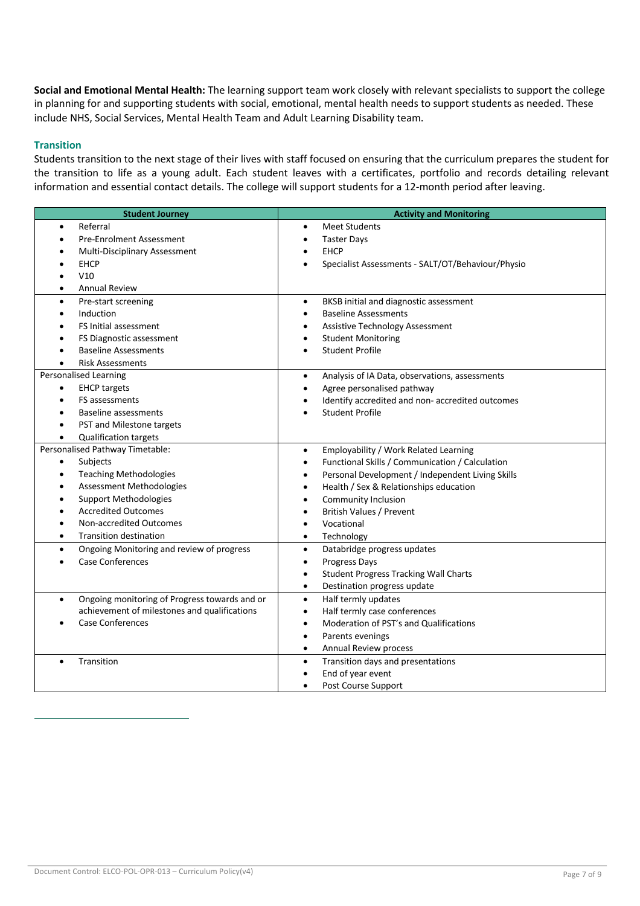**Social and Emotional Mental Health:** The learning support team work closely with relevant specialists to support the college in planning for and supporting students with social, emotional, mental health needs to support students as needed. These include NHS, Social Services, Mental Health Team and Adult Learning Disability team.

#### **Transition**

Students transition to the next stage of their lives with staff focused on ensuring that the curriculum prepares the student for the transition to life as a young adult. Each student leaves with a certificates, portfolio and records detailing relevant information and essential contact details. The college will support students for a 12-month period after leaving.

| <b>Student Journey</b>                                     | <b>Activity and Monitoring</b>                                |
|------------------------------------------------------------|---------------------------------------------------------------|
| Referral<br>$\bullet$                                      | <b>Meet Students</b><br>$\bullet$                             |
| <b>Pre-Enrolment Assessment</b>                            | <b>Taster Days</b><br>$\bullet$                               |
| Multi-Disciplinary Assessment                              | <b>EHCP</b><br>$\bullet$                                      |
| <b>EHCP</b>                                                | Specialist Assessments - SALT/OT/Behaviour/Physio             |
| V10                                                        |                                                               |
| <b>Annual Review</b><br>$\bullet$                          |                                                               |
| Pre-start screening<br>$\bullet$                           | BKSB initial and diagnostic assessment<br>$\bullet$           |
| Induction<br>$\bullet$                                     | <b>Baseline Assessments</b><br>$\bullet$                      |
| FS Initial assessment                                      | <b>Assistive Technology Assessment</b><br>$\bullet$           |
| FS Diagnostic assessment<br>٠                              | <b>Student Monitoring</b><br>$\bullet$                        |
| <b>Baseline Assessments</b>                                | <b>Student Profile</b><br>$\bullet$                           |
| <b>Risk Assessments</b>                                    |                                                               |
| <b>Personalised Learning</b>                               | Analysis of IA Data, observations, assessments<br>$\bullet$   |
| <b>EHCP targets</b><br>$\bullet$                           | Agree personalised pathway<br>$\bullet$                       |
| FS assessments<br>$\bullet$                                | Identify accredited and non- accredited outcomes              |
| Baseline assessments<br>$\bullet$                          | <b>Student Profile</b><br>$\bullet$                           |
| PST and Milestone targets<br>$\bullet$                     |                                                               |
| <b>Qualification targets</b><br>$\bullet$                  |                                                               |
| Personalised Pathway Timetable:                            | Employability / Work Related Learning<br>$\bullet$            |
| Subjects<br>$\bullet$                                      | Functional Skills / Communication / Calculation<br>$\bullet$  |
| <b>Teaching Methodologies</b><br>$\bullet$                 | Personal Development / Independent Living Skills<br>$\bullet$ |
| Assessment Methodologies<br>Ċ                              | Health / Sex & Relationships education<br>$\bullet$           |
| <b>Support Methodologies</b>                               | Community Inclusion<br>$\bullet$                              |
| <b>Accredited Outcomes</b>                                 | <b>British Values / Prevent</b><br>$\bullet$                  |
| Non-accredited Outcomes<br>$\bullet$                       | Vocational<br>$\bullet$                                       |
| Transition destination<br>$\bullet$                        | Technology<br>$\bullet$                                       |
| Ongoing Monitoring and review of progress<br>$\bullet$     | Databridge progress updates<br>$\bullet$                      |
| <b>Case Conferences</b>                                    | Progress Days<br>$\bullet$                                    |
|                                                            | <b>Student Progress Tracking Wall Charts</b><br>$\bullet$     |
|                                                            | Destination progress update<br>$\bullet$                      |
| Ongoing monitoring of Progress towards and or<br>$\bullet$ | Half termly updates<br>$\bullet$                              |
| achievement of milestones and qualifications               | Half termly case conferences<br>$\bullet$                     |
| <b>Case Conferences</b>                                    | Moderation of PST's and Qualifications<br>$\bullet$           |
|                                                            | Parents evenings<br>$\bullet$                                 |
|                                                            | Annual Review process<br>$\bullet$                            |
| Transition<br>$\bullet$                                    | Transition days and presentations<br>$\bullet$                |
|                                                            | End of year event                                             |
|                                                            | Post Course Support<br>$\bullet$                              |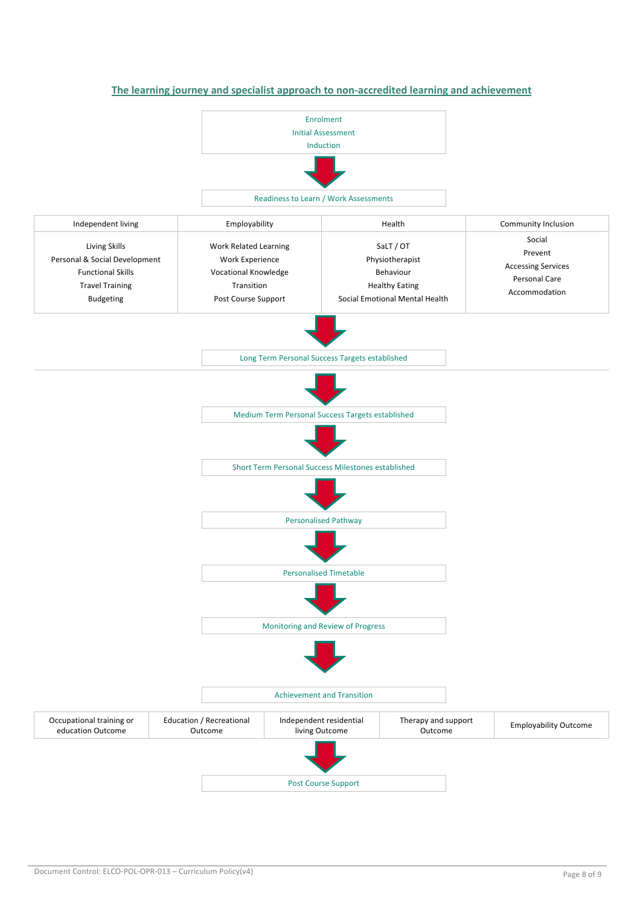

**The learning journey and specialist approach to non-accredited learning and achievement**